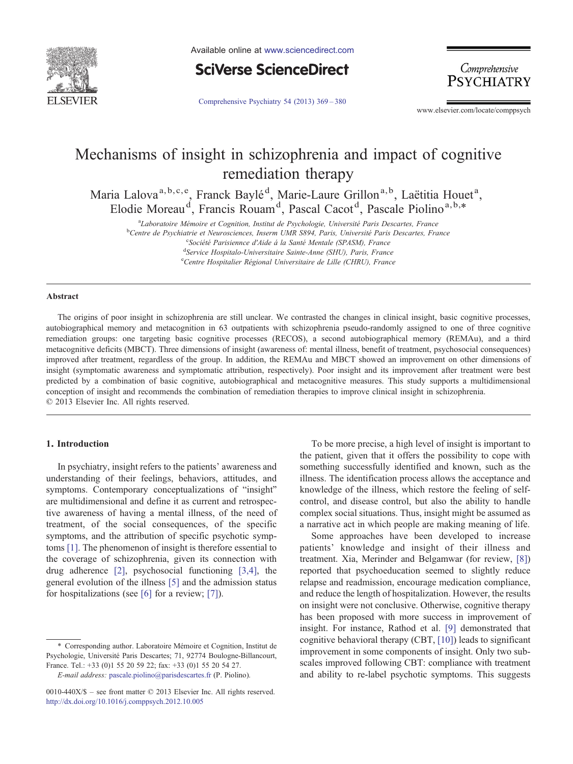

Available online at [www.sciencedirect.com](http://www.sciencedirect.com/science/journal/0010440X)

**SciVerse ScienceDirect** 

Comprehensive **PSYCHIATRY** 

[Comprehensive Psychiatry 54 \(2013\) 369](http://dx.doi.org/10.1016/j.comppsych.2012.10.005)–380

www.elsevier.com/locate/comppsych

# Mechanisms of insight in schizophrenia and impact of cognitive remediation therapy

Maria Lalova<sup>a, b, c, e</sup>, Franck Baylé<sup>d</sup>, Marie-Laure Grillon<sup>a, b</sup>, Laëtitia Houet<sup>a</sup>, Elodie Moreau<sup>d</sup>, Francis Rouam<sup>d</sup>, Pascal Cacot<sup>d</sup>, Pascale Piolino<sup>a,b,\*</sup>

<sup>a</sup>Laboratoire Mémoire et Cognition, Institut de Psychologie, Université Paris Descartes, France<br><sup>b</sup>Centre de Psychiatrie et Naurosciences, Inserm UMP \$804, Paris, Université Paris Descartes, France

<sup>b</sup>Centre de Psychiatrie et Neurosciences, Inserm UMR S894, Paris, Université Paris Descartes, France

Société Parisiennce d'Aide á la Santé Mentale (SPASM), France

<sup>d</sup>Service Hospitalo-Universitaire Sainte-Anne (SHU), Paris, France <sup>e</sup>Centre Hospitalier Régional Universitaire de Lille (CHRU), France

#### Abstract

The origins of poor insight in schizophrenia are still unclear. We contrasted the changes in clinical insight, basic cognitive processes, autobiographical memory and metacognition in 63 outpatients with schizophrenia pseudo-randomly assigned to one of three cognitive remediation groups: one targeting basic cognitive processes (RECOS), a second autobiographical memory (REMAu), and a third metacognitive deficits (MBCT). Three dimensions of insight (awareness of: mental illness, benefit of treatment, psychosocial consequences) improved after treatment, regardless of the group. In addition, the REMAu and MBCT showed an improvement on other dimensions of insight (symptomatic awareness and symptomatic attribution, respectively). Poor insight and its improvement after treatment were best predicted by a combination of basic cognitive, autobiographical and metacognitive measures. This study supports a multidimensional conception of insight and recommends the combination of remediation therapies to improve clinical insight in schizophrenia. © 2013 Elsevier Inc. All rights reserved.

## 1. Introduction

In psychiatry, insight refers to the patients' awareness and understanding of their feelings, behaviors, attitudes, and symptoms. Contemporary conceptualizations of "insight" are multidimensional and define it as current and retrospective awareness of having a mental illness, of the need of treatment, of the social consequences, of the specific symptoms, and the attribution of specific psychotic symptoms [\[1\].](#page-10-0) The phenomenon of insight is therefore essential to the coverage of schizophrenia, given its connection with drug adherence [\[2\],](#page-10-0) psychosocial functioning [\[3,4\]](#page-10-0), the general evolution of the illness [\[5\]](#page-10-0) and the admission status for hospitalizations (see [\[6\]](#page-10-0) for a review; [\[7\]](#page-10-0)).

To be more precise, a high level of insight is important to the patient, given that it offers the possibility to cope with something successfully identified and known, such as the illness. The identification process allows the acceptance and knowledge of the illness, which restore the feeling of selfcontrol, and disease control, but also the ability to handle complex social situations. Thus, insight might be assumed as a narrative act in which people are making meaning of life.

Some approaches have been developed to increase patients' knowledge and insight of their illness and treatment. Xia, Merinder and Belgamwar (for review, [\[8\]\)](#page-10-0) reported that psychoeducation seemed to slightly reduce relapse and readmission, encourage medication compliance, and reduce the length of hospitalization. However, the results on insight were not conclusive. Otherwise, cognitive therapy has been proposed with more success in improvement of insight. For instance, Rathod et al. [\[9\]](#page-10-0) demonstrated that cognitive behavioral therapy (CBT, [\[10\]\)](#page-10-0) leads to significant improvement in some components of insight. Only two subscales improved following CBT: compliance with treatment and ability to re-label psychotic symptoms. This suggests

<sup>⁎</sup> Corresponding author. Laboratoire Mémoire et Cognition, Institut de Psychologie, Université Paris Descartes; 71, 92774 Boulogne-Billancourt, France. Tel.: +33 (0)1 55 20 59 22; fax: +33 (0)1 55 20 54 27.

E-mail address: [pascale.piolino@parisdescartes.fr](mailto:pascale.piolino@parisdescartes.fr) (P. Piolino).

<sup>0010-440</sup>X/\$ – see front matter © 2013 Elsevier Inc. All rights reserved. <http://dx.doi.org/10.1016/j.comppsych.2012.10.005>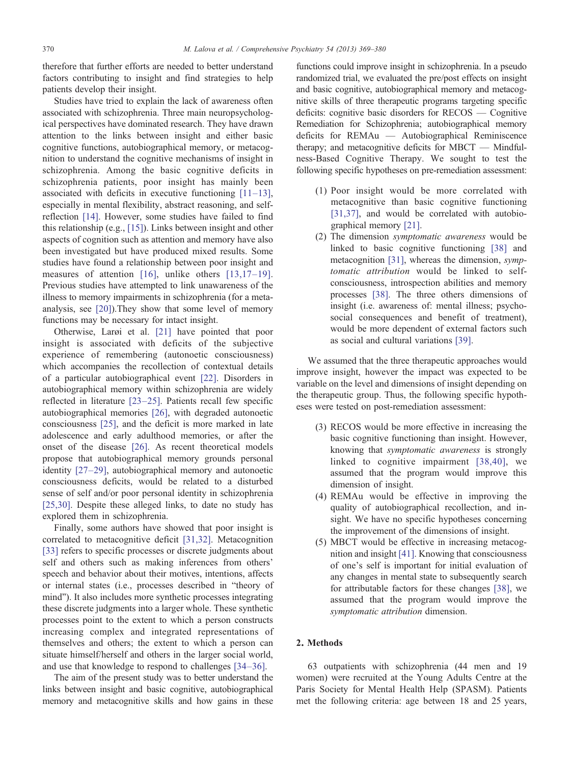therefore that further efforts are needed to better understand factors contributing to insight and find strategies to help patients develop their insight.

Studies have tried to explain the lack of awareness often associated with schizophrenia. Three main neuropsychological perspectives have dominated research. They have drawn attention to the links between insight and either basic cognitive functions, autobiographical memory, or metacognition to understand the cognitive mechanisms of insight in schizophrenia. Among the basic cognitive deficits in schizophrenia patients, poor insight has mainly been associated with deficits in executive functioning  $[11-13]$ , especially in mental flexibility, abstract reasoning, and selfreflection [\[14\].](#page-10-0) However, some studies have failed to find this relationship (e.g., [\[15\]](#page-10-0)). Links between insight and other aspects of cognition such as attention and memory have also been investigated but have produced mixed results. Some studies have found a relationship between poor insight and measures of attention [\[16\]](#page-10-0), unlike others [\[13,17](#page-10-0)-19]. Previous studies have attempted to link unawareness of the illness to memory impairments in schizophrenia (for a metaanalysis, see [\[20\]\)](#page-10-0).They show that some level of memory functions may be necessary for intact insight.

Otherwise, Larøi et al. [\[21\]](#page-10-0) have pointed that poor insight is associated with deficits of the subjective experience of remembering (autonoetic consciousness) which accompanies the recollection of contextual details of a particular autobiographical event [\[22\]](#page-10-0). Disorders in autobiographical memory within schizophrenia are widely reflected in literature [23–[25\]](#page-10-0). Patients recall few specific autobiographical memories [\[26\],](#page-10-0) with degraded autonoetic consciousness [\[25\]](#page-10-0), and the deficit is more marked in late adolescence and early adulthood memories, or after the onset of the disease [\[26\].](#page-10-0) As recent theoretical models propose that autobiographical memory grounds personal identity [\[27](#page-10-0)–29], autobiographical memory and autonoetic consciousness deficits, would be related to a disturbed sense of self and/or poor personal identity in schizophrenia [\[25,30\].](#page-10-0) Despite these alleged links, to date no study has explored them in schizophrenia.

Finally, some authors have showed that poor insight is correlated to metacognitive deficit [\[31,32\].](#page-10-0) Metacognition [\[33\]](#page-10-0) refers to specific processes or discrete judgments about self and others such as making inferences from others' speech and behavior about their motives, intentions, affects or internal states (i.e., processes described in "theory of mind"). It also includes more synthetic processes integrating these discrete judgments into a larger whole. These synthetic processes point to the extent to which a person constructs increasing complex and integrated representations of themselves and others; the extent to which a person can situate himself/herself and others in the larger social world, and use that knowledge to respond to challenges [34–[36\].](#page-10-0)

The aim of the present study was to better understand the links between insight and basic cognitive, autobiographical memory and metacognitive skills and how gains in these

functions could improve insight in schizophrenia. In a pseudo randomized trial, we evaluated the pre/post effects on insight and basic cognitive, autobiographical memory and metacognitive skills of three therapeutic programs targeting specific deficits: cognitive basic disorders for RECOS — Cognitive Remediation for Schizophrenia; autobiographical memory deficits for REMAu — Autobiographical Reminiscence therapy; and metacognitive deficits for MBCT — Mindfulness-Based Cognitive Therapy. We sought to test the following specific hypotheses on pre-remediation assessment:

- (1) Poor insight would be more correlated with metacognitive than basic cognitive functioning [\[31,37\],](#page-10-0) and would be correlated with autobiographical memory [\[21\]](#page-10-0).
- (2) The dimension symptomatic awareness would be linked to basic cognitive functioning [\[38\]](#page-10-0) and metacognition [\[31\],](#page-10-0) whereas the dimension, *symp*tomatic attribution would be linked to selfconsciousness, introspection abilities and memory processes [\[38\]](#page-10-0). The three others dimensions of insight (i.e. awareness of: mental illness; psychosocial consequences and benefit of treatment), would be more dependent of external factors such as social and cultural variations [\[39\]](#page-10-0).

We assumed that the three therapeutic approaches would improve insight, however the impact was expected to be variable on the level and dimensions of insight depending on the therapeutic group. Thus, the following specific hypotheses were tested on post-remediation assessment:

- (3) RECOS would be more effective in increasing the basic cognitive functioning than insight. However, knowing that *symptomatic awareness* is strongly linked to cognitive impairment [\[38,40\]](#page-10-0), we assumed that the program would improve this dimension of insight.
- (4) REMAu would be effective in improving the quality of autobiographical recollection, and insight. We have no specific hypotheses concerning the improvement of the dimensions of insight.
- (5) MBCT would be effective in increasing metacognition and insight [\[41\].](#page-10-0) Knowing that consciousness of one's self is important for initial evaluation of any changes in mental state to subsequently search for attributable factors for these changes [\[38\]](#page-10-0), we assumed that the program would improve the symptomatic attribution dimension.

# 2. Methods

63 outpatients with schizophrenia (44 men and 19 women) were recruited at the Young Adults Centre at the Paris Society for Mental Health Help (SPASM). Patients met the following criteria: age between 18 and 25 years,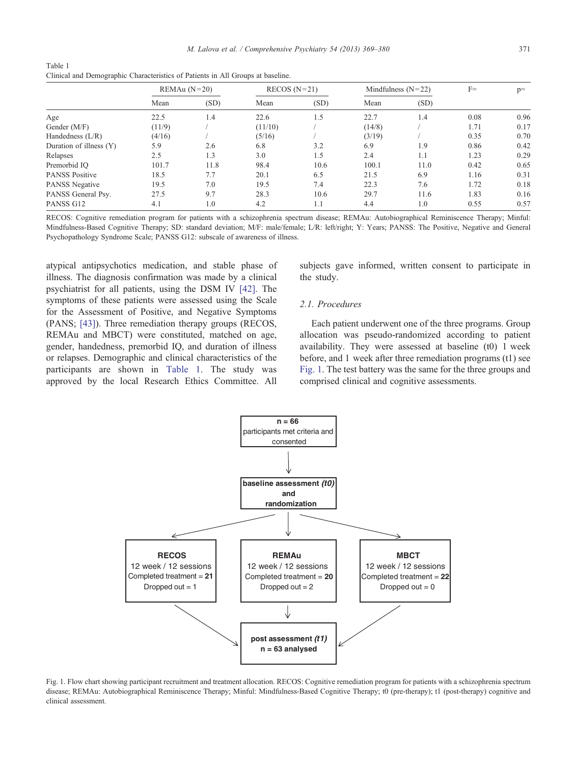| Cumical and Demographic Characteristics of Fatients in All Groups at basemie. |                |      |                |      |                      |      |      |      |  |  |
|-------------------------------------------------------------------------------|----------------|------|----------------|------|----------------------|------|------|------|--|--|
|                                                                               | $REMAu (N=20)$ |      | RECOS $(N=21)$ |      | Mindfulness $(N=22)$ |      | $F=$ | $p=$ |  |  |
|                                                                               | Mean           | (SD) | Mean           | (SD) | Mean                 | (SD) |      |      |  |  |
| Age                                                                           | 22.5           | 1.4  | 22.6           | 1.5  | 22.7                 | 1.4  | 0.08 | 0.96 |  |  |
| Gender (M/F)                                                                  | (11/9)         |      | (11/10)        |      | (14/8)               |      | 1.71 | 0.17 |  |  |
| Handedness $(L/R)$                                                            | (4/16)         |      | (5/16)         |      | (3/19)               |      | 0.35 | 0.70 |  |  |
| Duration of illness (Y)                                                       | 5.9            | 2.6  | 6.8            | 3.2  | 6.9                  | 1.9  | 0.86 | 0.42 |  |  |
| Relapses                                                                      | 2.5            | 1.3  | 3.0            | 1.5  | 2.4                  | 1.1  | 1.23 | 0.29 |  |  |
| Premorbid IO                                                                  | 101.7          | 11.8 | 98.4           | 10.6 | 100.1                | 11.0 | 0.42 | 0.65 |  |  |
| <b>PANSS Positive</b>                                                         | 18.5           | 7.7  | 20.1           | 6.5  | 21.5                 | 6.9  | 1.16 | 0.31 |  |  |
| <b>PANSS</b> Negative                                                         | 19.5           | 7.0  | 19.5           | 7.4  | 22.3                 | 7.6  | 1.72 | 0.18 |  |  |
| PANSS General Psy.                                                            | 27.5           | 9.7  | 28.3           | 10.6 | 29.7                 | 11.6 | 1.83 | 0.16 |  |  |
| PANSS G12                                                                     | 4.1            | 1.0  | 4.2            | 1.1  | 4.4                  | 1.0  | 0.55 | 0.57 |  |  |

Table 1 Clinical and Demographic Characteristics of Patients in All Groups at baseline.

RECOS: Cognitive remediation program for patients with a schizophrenia spectrum disease; REMAu: Autobiographical Reminiscence Therapy; Minful: Mindfulness-Based Cognitive Therapy; SD: standard deviation; M/F: male/female; L/R: left/right; Y: Years; PANSS: The Positive, Negative and General Psychopathology Syndrome Scale; PANSS G12: subscale of awareness of illness.

atypical antipsychotics medication, and stable phase of illness. The diagnosis confirmation was made by a clinical psychiatrist for all patients, using the DSM IV [\[42\].](#page-10-0) The symptoms of these patients were assessed using the Scale for the Assessment of Positive, and Negative Symptoms (PANS; [\[43\]](#page-11-0)). Three remediation therapy groups (RECOS, REMAu and MBCT) were constituted, matched on age, gender, handedness, premorbid IQ, and duration of illness or relapses. Demographic and clinical characteristics of the participants are shown in Table 1. The study was approved by the local Research Ethics Committee. All

subjects gave informed, written consent to participate in the study.

# 2.1. Procedures

Each patient underwent one of the three programs. Group allocation was pseudo-randomized according to patient availability. They were assessed at baseline (t0) 1 week before, and 1 week after three remediation programs (t1) see Fig. 1. The test battery was the same for the three groups and comprised clinical and cognitive assessments.



Fig. 1. Flow chart showing participant recruitment and treatment allocation. RECOS: Cognitive remediation program for patients with a schizophrenia spectrum disease; REMAu: Autobiographical Reminiscence Therapy; Minful: Mindfulness-Based Cognitive Therapy; t0 (pre-therapy); t1 (post-therapy) cognitive and clinical assessment.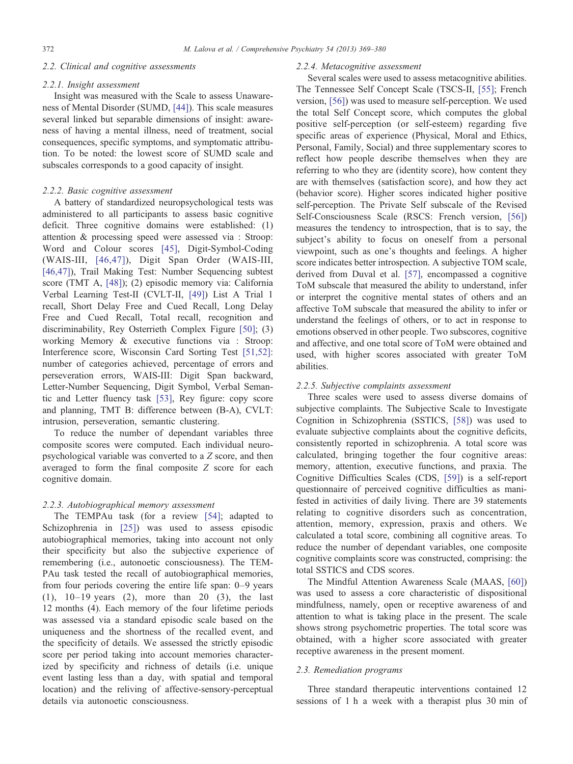# 2.2. Clinical and cognitive assessments

# 2.2.1. Insight assessment

Insight was measured with the Scale to assess Unawareness of Mental Disorder (SUMD, [\[44\]\)](#page-11-0). This scale measures several linked but separable dimensions of insight: awareness of having a mental illness, need of treatment, social consequences, specific symptoms, and symptomatic attribution. To be noted: the lowest score of SUMD scale and subscales corresponds to a good capacity of insight.

# 2.2.2. Basic cognitive assessment

A battery of standardized neuropsychological tests was administered to all participants to assess basic cognitive deficit. Three cognitive domains were established: (1) attention & processing speed were assessed via : Stroop: Word and Colour scores [\[45\],](#page-11-0) Digit-Symbol-Coding (WAIS-III, [\[46,47\]](#page-11-0)), Digit Span Order (WAIS-III, [\[46,47\]\)](#page-11-0), Trail Making Test: Number Sequencing subtest score (TMT A, [\[48\]](#page-11-0)); (2) episodic memory via: California Verbal Learning Test-II (CVLT-II, [\[49\]](#page-11-0)) List A Trial 1 recall, Short Delay Free and Cued Recall, Long Delay Free and Cued Recall, Total recall, recognition and discriminability, Rey Osterrieth Complex Figure [\[50\];](#page-11-0) (3) working Memory & executive functions via : Stroop: Interference score, Wisconsin Card Sorting Test [\[51,52\]](#page-11-0): number of categories achieved, percentage of errors and perseveration errors, WAIS-III: Digit Span backward, Letter-Number Sequencing, Digit Symbol, Verbal Semantic and Letter fluency task [\[53\]](#page-11-0), Rey figure: copy score and planning, TMT B: difference between (B-A), CVLT: intrusion, perseveration, semantic clustering.

To reduce the number of dependant variables three composite scores were computed. Each individual neuropsychological variable was converted to a Z score, and then averaged to form the final composite Z score for each cognitive domain.

### 2.2.3. Autobiographical memory assessment

The TEMPAu task (for a review [\[54\];](#page-11-0) adapted to Schizophrenia in [\[25\]](#page-10-0)) was used to assess episodic autobiographical memories, taking into account not only their specificity but also the subjective experience of remembering (i.e., autonoetic consciousness). The TEM-PAu task tested the recall of autobiographical memories, from four periods covering the entire life span: 0–9 years (1), 10–19 years (2), more than 20 (3), the last 12 months (4). Each memory of the four lifetime periods was assessed via a standard episodic scale based on the uniqueness and the shortness of the recalled event, and the specificity of details. We assessed the strictly episodic score per period taking into account memories characterized by specificity and richness of details (i.e. unique event lasting less than a day, with spatial and temporal location) and the reliving of affective-sensory-perceptual details via autonoetic consciousness.

#### 2.2.4. Metacognitive assessment

Several scales were used to assess metacognitive abilities. The Tennessee Self Concept Scale (TSCS-II, [\[55\]](#page-11-0); French version, [\[56\]\)](#page-11-0) was used to measure self-perception. We used the total Self Concept score, which computes the global positive self-perception (or self-esteem) regarding five specific areas of experience (Physical, Moral and Ethics, Personal, Family, Social) and three supplementary scores to reflect how people describe themselves when they are referring to who they are (identity score), how content they are with themselves (satisfaction score), and how they act (behavior score). Higher scores indicated higher positive self-perception. The Private Self subscale of the Revised Self-Consciousness Scale (RSCS: French version, [\[56\]\)](#page-11-0) measures the tendency to introspection, that is to say, the subject's ability to focus on oneself from a personal viewpoint, such as one's thoughts and feelings. A higher score indicates better introspection. A subjective TOM scale, derived from Duval et al. [\[57\],](#page-11-0) encompassed a cognitive ToM subscale that measured the ability to understand, infer or interpret the cognitive mental states of others and an affective ToM subscale that measured the ability to infer or understand the feelings of others, or to act in response to emotions observed in other people. Two subscores, cognitive and affective, and one total score of ToM were obtained and used, with higher scores associated with greater ToM abilities.

## 2.2.5. Subjective complaints assessment

Three scales were used to assess diverse domains of subjective complaints. The Subjective Scale to Investigate Cognition in Schizophrenia (SSTICS, [\[58\]](#page-11-0)) was used to evaluate subjective complaints about the cognitive deficits, consistently reported in schizophrenia. A total score was calculated, bringing together the four cognitive areas: memory, attention, executive functions, and praxia. The Cognitive Difficulties Scales (CDS, [\[59\]\)](#page-11-0) is a self-report questionnaire of perceived cognitive difficulties as manifested in activities of daily living. There are 39 statements relating to cognitive disorders such as concentration, attention, memory, expression, praxis and others. We calculated a total score, combining all cognitive areas. To reduce the number of dependant variables, one composite cognitive complaints score was constructed, comprising: the total SSTICS and CDS scores.

The Mindful Attention Awareness Scale (MAAS, [\[60\]\)](#page-11-0) was used to assess a core characteristic of dispositional mindfulness, namely, open or receptive awareness of and attention to what is taking place in the present. The scale shows strong psychometric properties. The total score was obtained, with a higher score associated with greater receptive awareness in the present moment.

# 2.3. Remediation programs

Three standard therapeutic interventions contained 12 sessions of 1 h a week with a therapist plus 30 min of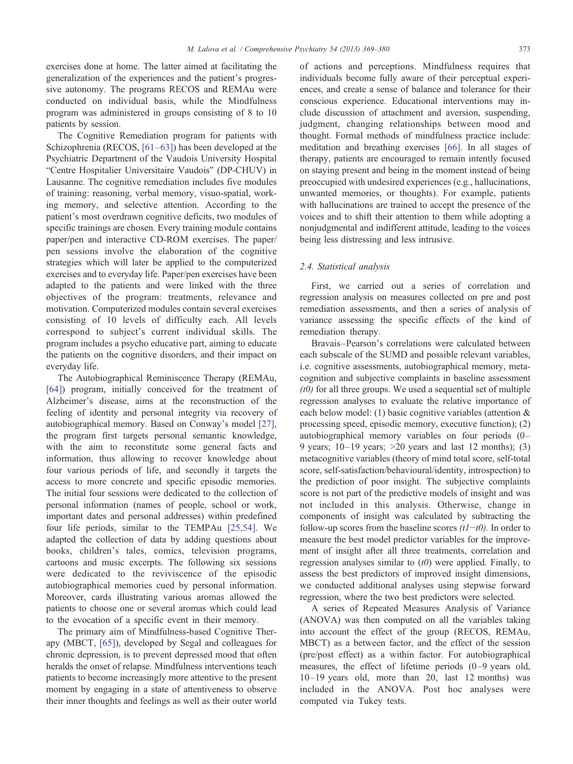exercises done at home. The latter aimed at facilitating the generalization of the experiences and the patient's progressive autonomy. The programs RECOS and REMAu were conducted on individual basis, while the Mindfulness program was administered in groups consisting of 8 to 10 patients by session.

The Cognitive Remediation program for patients with Schizophrenia (RECOS, [\[61](#page-11-0)–63]) has been developed at the Psychiatric Department of the Vaudois University Hospital "Centre Hospitalier Universitaire Vaudois" (DP-CHUV) in Lausanne. The cognitive remediation includes five modules of training: reasoning, verbal memory, visuo-spatial, working memory, and selective attention. According to the patient's most overdrawn cognitive deficits, two modules of specific trainings are chosen. Every training module contains paper/pen and interactive CD-ROM exercises. The paper/ pen sessions involve the elaboration of the cognitive strategies which will later be applied to the computerized exercises and to everyday life. Paper/pen exercises have been adapted to the patients and were linked with the three objectives of the program: treatments, relevance and motivation. Computerized modules contain several exercises consisting of 10 levels of difficulty each. All levels correspond to subject's current individual skills. The program includes a psycho educative part, aiming to educate the patients on the cognitive disorders, and their impact on everyday life.

The Autobiographical Reminiscence Therapy (REMAu, [\[64\]](#page-11-0)) program, initially conceived for the treatment of Alzheimer's disease, aims at the reconstruction of the feeling of identity and personal integrity via recovery of autobiographical memory. Based on Conway's model [\[27\]](#page-10-0), the program first targets personal semantic knowledge, with the aim to reconstitute some general facts and information, thus allowing to recover knowledge about four various periods of life, and secondly it targets the access to more concrete and specific episodic memories. The initial four sessions were dedicated to the collection of personal information (names of people, school or work, important dates and personal addresses) within predefined four life periods, similar to the TEMPAu [\[25,54\].](#page-10-0) We adapted the collection of data by adding questions about books, children's tales, comics, television programs, cartoons and music excerpts. The following six sessions were dedicated to the reviviscence of the episodic autobiographical memories cued by personal information. Moreover, cards illustrating various aromas allowed the patients to choose one or several aromas which could lead to the evocation of a specific event in their memory.

The primary aim of Mindfulness-based Cognitive Therapy (MBCT, [\[65\]\)](#page-11-0), developed by Segal and colleagues for chronic depression, is to prevent depressed mood that often heralds the onset of relapse. Mindfulness interventions teach patients to become increasingly more attentive to the present moment by engaging in a state of attentiveness to observe their inner thoughts and feelings as well as their outer world of actions and perceptions. Mindfulness requires that individuals become fully aware of their perceptual experiences, and create a sense of balance and tolerance for their conscious experience. Educational interventions may include discussion of attachment and aversion, suspending, judgment, changing relationships between mood and thought. Formal methods of mindfulness practice include: meditation and breathing exercises [\[66\]](#page-11-0). In all stages of therapy, patients are encouraged to remain intently focused on staying present and being in the moment instead of being preoccupied with undesired experiences (e.g., hallucinations, unwanted memories, or thoughts). For example, patients with hallucinations are trained to accept the presence of the voices and to shift their attention to them while adopting a nonjudgmental and indifferent attitude, leading to the voices being less distressing and less intrusive.

#### 2.4. Statistical analysis

First, we carried out a series of correlation and regression analysis on measures collected on pre and post remediation assessments, and then a series of analysis of variance assessing the specific effects of the kind of remediation therapy.

Bravais–Pearson's correlations were calculated between each subscale of the SUMD and possible relevant variables, i.e. cognitive assessments, autobiographical memory, metacognition and subjective complaints in baseline assessment  $(t0)$  for all three groups. We used a sequential set of multiple regression analyses to evaluate the relative importance of each below model: (1) basic cognitive variables (attention & processing speed, episodic memory, executive function); (2) autobiographical memory variables on four periods (0– 9 years;  $10-19$  years;  $>20$  years and last 12 months); (3) metacognitive variables (theory of mind total score, self-total score, self-satisfaction/behavioural/identity, introspection) to the prediction of poor insight. The subjective complaints score is not part of the predictive models of insight and was not included in this analysis. Otherwise, change in components of insight was calculated by subtracting the follow-up scores from the baseline scores  $(t1-t0)$ . In order to measure the best model predictor variables for the improvement of insight after all three treatments, correlation and regression analyses similar to  $(t0)$  were applied. Finally, to assess the best predictors of improved insight dimensions, we conducted additional analyses using stepwise forward regression, where the two best predictors were selected.

A series of Repeated Measures Analysis of Variance (ANOVA) was then computed on all the variables taking into account the effect of the group (RECOS, REMAu, MBCT) as a between factor, and the effect of the session (pre/post effect) as a within factor. For autobiographical measures, the effect of lifetime periods (0–9 years old, 10–19 years old, more than 20, last 12 months) was included in the ANOVA. Post hoc analyses were computed via Tukey tests.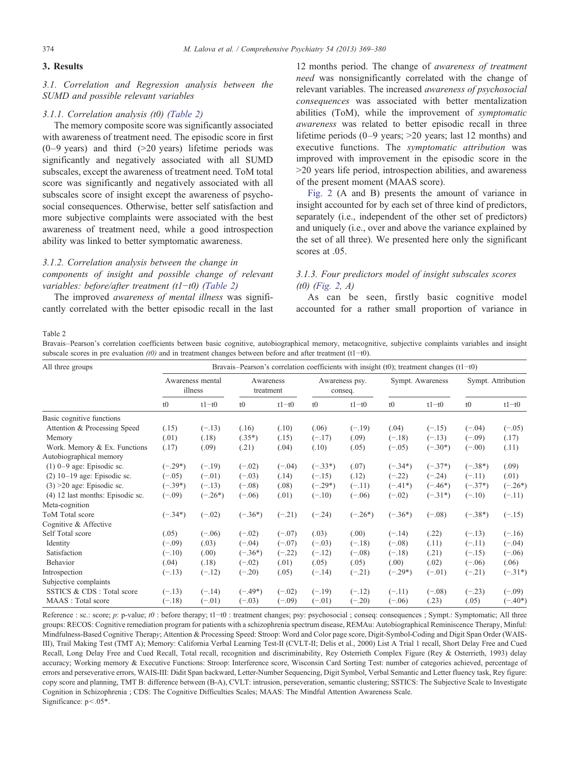# <span id="page-5-0"></span>3. Results

3.1. Correlation and Regression analysis between the SUMD and possible relevant variables

#### 3.1.1. Correlation analysis (t0) (Table 2)

The memory composite score was significantly associated with awareness of treatment need. The episodic score in first  $(0-9 \text{ years})$  and third  $(>20 \text{ years})$  lifetime periods was significantly and negatively associated with all SUMD subscales, except the awareness of treatment need. ToM total score was significantly and negatively associated with all subscales score of insight except the awareness of psychosocial consequences. Otherwise, better self satisfaction and more subjective complaints were associated with the best awareness of treatment need, while a good introspection ability was linked to better symptomatic awareness.

# 3.1.2. Correlation analysis between the change in components of insight and possible change of relevant variables: before/after treatment (t1−t0) (Table 2)

The improved awareness of mental illness was significantly correlated with the better episodic recall in the last 12 months period. The change of awareness of treatment need was nonsignificantly correlated with the change of relevant variables. The increased awareness of psychosocial consequences was associated with better mentalization abilities (ToM), while the improvement of symptomatic awareness was related to better episodic recall in three lifetime periods  $(0-9$  years;  $>20$  years; last 12 months) and executive functions. The symptomatic attribution was improved with improvement in the episodic score in the  $>$ 20 years life period, introspection abilities, and awareness of the present moment (MAAS score).

[Fig. 2](#page-6-0) (A and B) presents the amount of variance in insight accounted for by each set of three kind of predictors, separately (i.e., independent of the other set of predictors) and uniquely (i.e., over and above the variance explained by the set of all three). We presented here only the significant scores at .05.

# 3.1.3. Four predictors model of insight subscales scores (t0) ([Fig. 2](#page-6-0), A)

As can be seen, firstly basic cognitive model accounted for a rather small proportion of variance in

Table 2

Bravais–Pearson's correlation coefficients between basic cognitive, autobiographical memory, metacognitive, subjective complaints variables and insight subscale scores in pre evaluation (t0) and in treatment changes between before and after treatment (t1−t0).

| All three groups                 | Bravais–Pearson's correlation coefficients with insight (t0); treatment changes (t1-t0) |            |                        |          |                           |           |                  |           |                    |           |
|----------------------------------|-----------------------------------------------------------------------------------------|------------|------------------------|----------|---------------------------|-----------|------------------|-----------|--------------------|-----------|
|                                  | Awareness mental<br>illness                                                             |            | Awareness<br>treatment |          | Awareness psy.<br>conseq. |           | Sympt. Awareness |           | Sympt. Attribution |           |
|                                  | t0                                                                                      | $t1-t0$    | t0                     | $t1-t0$  | t0                        | $t1-t0$   | t0               | $t1-t0$   | t0                 | $t1-t0$   |
| Basic cognitive functions        |                                                                                         |            |                        |          |                           |           |                  |           |                    |           |
| Attention & Processing Speed     | (.15)                                                                                   | $(-.13)$   | (.16)                  | (.10)    | (.06)                     | $(-.19)$  | (.04)            | $(-.15)$  | $(-.04)$           | $(-.05)$  |
| Memory                           | (.01)                                                                                   | (.18)      | $(.35*)$               | (.15)    | $(-.17)$                  | (.09)     | $(-.18)$         | $(-.13)$  | $(-.09)$           | (.17)     |
| Work. Memory & Ex. Functions     | (.17)                                                                                   | (.09)      | (.21)                  | (.04)    | (.10)                     | (.05)     | $(-.05)$         | $(-.30*)$ | $(-.00)$           | (.11)     |
| Autobiographical memory          |                                                                                         |            |                        |          |                           |           |                  |           |                    |           |
| $(1)$ 0-9 age: Episodic sc.      | $(-.29*)$                                                                               | $(-.19)$   | $(-.02)$               | $(-.04)$ | $(-.33*)$                 | (.07)     | $(-.34*)$        | $(-.37*)$ | $(-.38*)$          | (.09)     |
| $(2)$ 10–19 age: Episodic sc.    | $(-.05)$                                                                                | $(-.01)$   | $(-.03)$               | (.14)    | $(-.15)$                  | (.12)     | $(-.22)$         | $(-.24)$  | $(-.11)$           | (.01)     |
| $(3) > 20$ age: Episodic sc.     | $(-.39*)$                                                                               | $(-.13)$   | $(-.08)$               | (.08)    | $(-.29*)$                 | $(-.11)$  | $(-.41*)$        | $(-.46*)$ | $(-.37*)$          | $(-.26*)$ |
| (4) 12 last months: Episodic sc. | $(-.09)$                                                                                | $(-.26^*)$ | $(-.06)$               | (.01)    | $(-.10)$                  | $(-.06)$  | $(-.02)$         | $(-.31*)$ | $(-.10)$           | $(-.11)$  |
| Meta-cognition                   |                                                                                         |            |                        |          |                           |           |                  |           |                    |           |
| ToM Total score                  | $(-.34*)$                                                                               | $(-.02)$   | $(-.36*)$              | $(-.21)$ | $(-.24)$                  | $(-.26*)$ | $(-.36*)$        | $(-.08)$  | $(-.38*)$          | $(-.15)$  |
| Cognitive & Affective            |                                                                                         |            |                        |          |                           |           |                  |           |                    |           |
| Self Total score                 | (.05)                                                                                   | $(-.06)$   | $(-.02)$               | $(-.07)$ | (.03)                     | (0.00)    | $(-.14)$         | (.22)     | $(-.13)$           | $(-.16)$  |
| Identity                         | $(-.09)$                                                                                | (.03)      | $(-.04)$               | $(-.07)$ | $(-.03)$                  | $(-.18)$  | $(-.08)$         | (.11)     | $(-.11)$           | $(-.04)$  |
| Satisfaction                     | $(-.10)$                                                                                | (.00)      | $(-.36*)$              | $(-.22)$ | $(-.12)$                  | $(-.08)$  | $(-.18)$         | (.21)     | $(-.15)$           | $(-.06)$  |
| Behavior                         | (.04)                                                                                   | (.18)      | $(-.02)$               | (.01)    | (.05)                     | (.05)     | (0.00)           | (.02)     | $(-.06)$           | (.06)     |
| Introspection                    | $(-.13)$                                                                                | $(-.12)$   | $(-.20)$               | (.05)    | $(-.14)$                  | $(-.21)$  | $(-.29*)$        | $(-.01)$  | $(-.21)$           | $(-.31*)$ |
| Subjective complaints            |                                                                                         |            |                        |          |                           |           |                  |           |                    |           |
| SSTICS & CDS : Total score       | $(-.13)$                                                                                | $(-.14)$   | $(-.49*)$              | $(-.02)$ | $(-.19)$                  | $(-.12)$  | $(-.11)$         | $(-.08)$  | $(-.23)$           | $(-.09)$  |
| MAAS: Total score                | $(-.18)$                                                                                | $(-.01)$   | $(-.03)$               | $(-.09)$ | $(-.01)$                  | $(-.20)$  | $(-.06)$         | (.23)     | (.05)              | $(-.40*)$ |

Reference : sc.: score; p: p-value; t0 : before therapy; t1-t0 : treatment changes; psy: psychosocial ; conseq: consequences ; Sympt.: Symptomatic; All three groups: RECOS: Cognitive remediation program for patients with a schizophrenia spectrum disease, REMAu: Autobiographical Reminiscence Therapy, Minful: Mindfulness-Based Cognitive Therapy; Attention & Processing Speed: Stroop: Word and Color page score, Digit-Symbol-Coding and Digit Span Order (WAIS-III), Trail Making Test (TMT A); Memory: California Verbal Learning Test-II (CVLT-II; Delis et al., 2000) List A Trial 1 recall, Short Delay Free and Cued Recall, Long Delay Free and Cued Recall, Total recall, recognition and discriminability, Rey Osterrieth Complex Figure (Rey & Osterrieth, 1993) delay accuracy; Working memory & Executive Functions: Stroop: Interference score, Wisconsin Card Sorting Test: number of categories achieved, percentage of errors and perseverative errors, WAIS-III: Didit Span backward, Letter-Number Sequencing, Digit Symbol, Verbal Semantic and Letter fluency task, Rey figure: copy score and planning, TMT B: difference between (B-A), CVLT: intrusion, perseveration, semantic clustering; SSTICS: The Subjective Scale to Investigate Cognition in Schizophrenia ; CDS: The Cognitive Difficulties Scales; MAAS: The Mindful Attention Awareness Scale. Significance:  $p<.05*$ .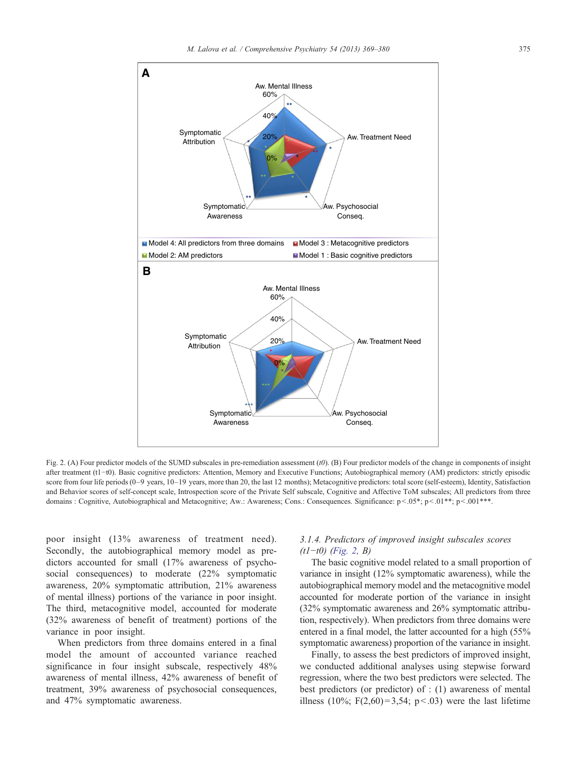<span id="page-6-0"></span>

Fig. 2. (A) Four predictor models of the SUMD subscales in pre-remediation assessment  $(t0)$ . (B) Four predictor models of the change in components of insight after treatment (t1−t0). Basic cognitive predictors: Attention, Memory and Executive Functions; Autobiographical memory (AM) predictors: strictly episodic score from four life periods (0–9 years, 10–19 years, more than 20, the last 12 months); Metacognitive predictors: total score (self-esteem), Identity, Satisfaction and Behavior scores of self-concept scale, Introspection score of the Private Self subscale, Cognitive and Affective ToM subscales; All predictors from three domains : Cognitive, Autobiographical and Metacognitive; Aw.: Awareness; Cons.: Consequences. Significance:  $p < 0.05*$ ;  $p < 0.01**$ .

poor insight (13% awareness of treatment need). Secondly, the autobiographical memory model as predictors accounted for small (17% awareness of psychosocial consequences) to moderate (22% symptomatic awareness, 20% symptomatic attribution, 21% awareness of mental illness) portions of the variance in poor insight. The third, metacognitive model, accounted for moderate (32% awareness of benefit of treatment) portions of the variance in poor insight.

When predictors from three domains entered in a final model the amount of accounted variance reached significance in four insight subscale, respectively 48% awareness of mental illness, 42% awareness of benefit of treatment, 39% awareness of psychosocial consequences, and 47% symptomatic awareness.

# 3.1.4. Predictors of improved insight subscales scores  $(t1-t0)$  (Fig. 2, B)

The basic cognitive model related to a small proportion of variance in insight (12% symptomatic awareness), while the autobiographical memory model and the metacognitive model accounted for moderate portion of the variance in insight (32% symptomatic awareness and 26% symptomatic attribution, respectively). When predictors from three domains were entered in a final model, the latter accounted for a high (55% symptomatic awareness) proportion of the variance in insight.

Finally, to assess the best predictors of improved insight, we conducted additional analyses using stepwise forward regression, where the two best predictors were selected. The best predictors (or predictor) of : (1) awareness of mental illness (10%; F(2,60)=3,54; p < 03) were the last lifetime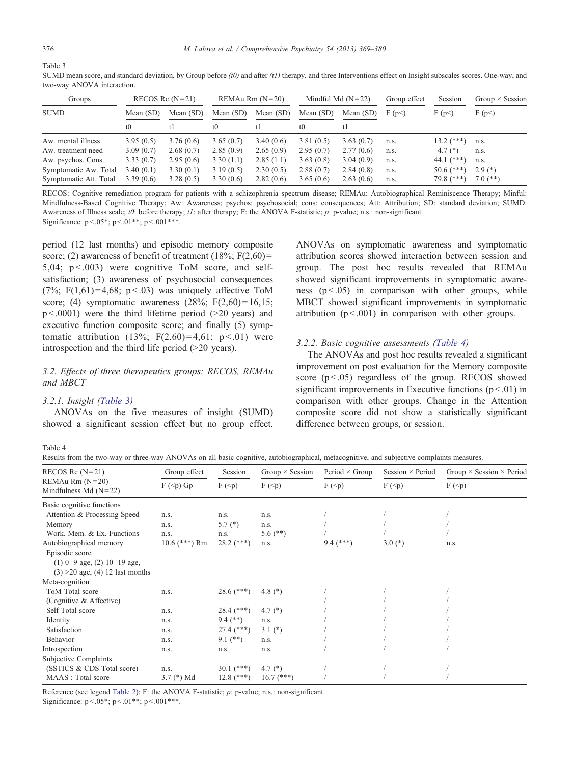Table 3

| $100 - Way$ Alvo $V$ A Interaction. |                   |           |                   |                 |                     |                  |              |                |                        |
|-------------------------------------|-------------------|-----------|-------------------|-----------------|---------------------|------------------|--------------|----------------|------------------------|
| Groups                              | RECOS Rc $(N=21)$ |           | REMAu Rm $(N=20)$ |                 | Mindful Md $(N=22)$ |                  | Group effect | Session        | Group $\times$ Session |
| <b>SUMD</b>                         | Mean (SD)         | Mean (SD) | Mean (SD)<br>t()  | Mean (SD)<br>t1 | Mean (SD)<br>t0     | Mean (SD)<br>t l | F(p<)        | F(p<)          | F(p<)                  |
|                                     | t <sub>0</sub>    |           |                   |                 |                     |                  |              |                |                        |
| Aw. mental illness                  | 3.95(0.5)         | 3.76(0.6) | 3.65(0.7)         | 3.40(0.6)       | 3.81(0.5)           | 3.63(0.7)        | n.s.         | $13.2$ (***)   | n.s.                   |
| Aw. treatment need                  | 3.09(0.7)         | 2.68(0.7) | 2.85(0.9)         | 2.65(0.9)       | 2.95(0.7)           | 2.77(0.6)        | n.s.         | 4.7 $(*)$      | n.s.                   |
| Aw. psychos. Cons.                  | 3.33(0.7)         | 2.95(0.6) | 3.30(1.1)         | 2.85(1.1)       | 3.63(0.8)           | 3.04(0.9)        | n.s.         | 44.1 $(***)$   | n.s.                   |
| Symptomatic Aw. Total               | 3.40(0.1)         | 3.30(0.1) | 3.19(0.5)         | 2.30(0.5)       | 2.88(0.7)           | 2.84(0.8)        | n.s.         | $50.6$ (***)   | $2.9(*)$               |
| Symptomatic Att. Total              | 3.39(0.6)         | 3.28(0.5) | 3.30(0.6)         | 2.82(0.6)       | 3.65(0.6)           | 2.63(0.6)        | n.s.         | $79.8$ $(***)$ | $7.0$ $(**)$           |

SUMD mean score, and standard deviation, by Group before (t0) and after (t1) therapy, and three Interventions effect on Insight subscales scores. One-way, and  $\lambda$ NOVA int

RECOS: Cognitive remediation program for patients with a schizophrenia spectrum disease; REMAu: Autobiographical Reminiscence Therapy; Minful: Mindfulness-Based Cognitive Therapy; Aw: Awareness; psychos: psychosocial; cons: consequences; Att: Attribution; SD: standard deviation; SUMD: Awareness of Illness scale; t0: before therapy; t1: after therapy; F: the ANOVA F-statistic; p: p-value; n.s.: non-significant. Significance:  $p < .05*$ ;  $p < .01**$ ;  $p < .001***$ .

period (12 last months) and episodic memory composite score; (2) awareness of benefit of treatment  $(18\%;$  F $(2,60)$ = 5,04;  $p < .003$ ) were cognitive ToM score, and selfsatisfaction; (3) awareness of psychosocial consequences (7%; F(1,61)=4,68; p < 0.03) was uniquely affective ToM score; (4) symptomatic awareness  $(28\%;$  F $(2,60) = 16,15;$  $p<0.001$ ) were the third lifetime period ( $>20$  years) and executive function composite score; and finally (5) symptomatic attribution (13%;  $F(2,60) = 4,61$ ;  $p < .01$ ) were introspection and the third life period  $(>20$  years).

# 3.2. Effects of three therapeutics groups: RECOS, REMAu and MBCT

#### 3.2.1. Insight (Table 3)

ANOVAs on the five measures of insight (SUMD) showed a significant session effect but no group effect. ANOVAs on symptomatic awareness and symptomatic attribution scores showed interaction between session and group. The post hoc results revealed that REMAu showed significant improvements in symptomatic awareness  $(p<0.05)$  in comparison with other groups, while MBCT showed significant improvements in symptomatic attribution ( $p<0.001$ ) in comparison with other groups.

# 3.2.2. Basic cognitive assessments (Table 4)

The ANOVAs and post hoc results revealed a significant improvement on post evaluation for the Memory composite score  $(p<.05)$  regardless of the group. RECOS showed significant improvements in Executive functions  $(p<0.01)$  in comparison with other groups. Change in the Attention composite score did not show a statistically significant difference between groups, or session.

#### Table 4

Results from the two-way or three-way ANOVAs on all basic cognitive, autobiographical, metacognitive, and subjective complaints measures.

| RECOS Rc $(N=21)$                            | Group effect    | Session      | Group $\times$ Session | Period $\times$ Group | Session $\times$ Period | Group $\times$ Session $\times$ Period |  |
|----------------------------------------------|-----------------|--------------|------------------------|-----------------------|-------------------------|----------------------------------------|--|
| REMAu Rm $(N=20)$<br>Mindfulness Md $(N=22)$ | $F(\leq p)$ Gp  | $F(\leq p)$  | $F(\leq p)$            | $F(\leq p)$           | $F(\leq p)$             | $F(\leq p)$                            |  |
| Basic cognitive functions                    |                 |              |                        |                       |                         |                                        |  |
| Attention & Processing Speed                 | n.s.            | n.s.         | n.s.                   |                       |                         |                                        |  |
| Memory                                       | n.s.            | 5.7 $(*)$    | n.s.                   |                       |                         |                                        |  |
| Work, Mem. & Ex. Functions                   | n.s.            | n.s.         | $5.6$ (**)             |                       |                         |                                        |  |
| Autobiographical memory                      | $10.6$ (***) Rm | $28.2$ (***) | n.s.                   | $9.4$ (***)           | $3.0(*)$                | n.s.                                   |  |
| Episodic score                               |                 |              |                        |                       |                         |                                        |  |
| $(1)$ 0-9 age, $(2)$ 10-19 age,              |                 |              |                        |                       |                         |                                        |  |
| $(3) > 20$ age, $(4)$ 12 last months         |                 |              |                        |                       |                         |                                        |  |
| Meta-cognition                               |                 |              |                        |                       |                         |                                        |  |
| ToM Total score                              | n.s.            | $28.6$ (***) | 4.8 $(*)$              |                       |                         |                                        |  |
| (Cognitive & Affective)                      |                 |              |                        |                       |                         |                                        |  |
| Self Total score                             | n.s.            | $28.4$ (***) | 4.7 $(*)$              |                       |                         |                                        |  |
| Identity                                     | n.s.            | $9.4$ (**)   | n.s.                   |                       |                         |                                        |  |
| Satisfaction                                 | n.s.            | $27.4$ (***) | $3.1$ (*)              |                       |                         |                                        |  |
| Behavior                                     | n.s.            | $9.1$ (**)   | n.s.                   |                       |                         |                                        |  |
| Introspection                                | n.s.            | n.s.         | n.s.                   |                       |                         |                                        |  |
| Subjective Complaints                        |                 |              |                        |                       |                         |                                        |  |
| (SSTICS & CDS Total score)                   | n.s.            | $30.1$ (***) | 4.7 $(*)$              |                       |                         |                                        |  |
| MAAS: Total score                            | $3.7$ (*) Md    | $12.8$ (***) | $16.7$ (***)           |                       |                         |                                        |  |

Reference (see legend [Table 2\)](#page-5-0): F: the ANOVA F-statistic; p: p-value; n.s.: non-significant. Significance:  $p < .05*$ ;  $p < .01**$ ;  $p < .001***$ .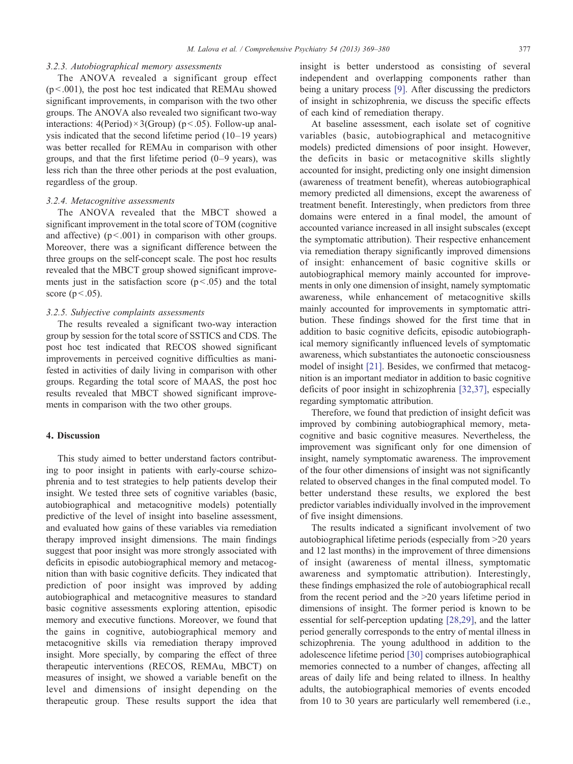#### 3.2.3. Autobiographical memory assessments

The ANOVA revealed a significant group effect  $(p<.001)$ , the post hoc test indicated that REMAu showed significant improvements, in comparison with the two other groups. The ANOVA also revealed two significant two-way interactions:  $4(Period) \times 3(Group)$  (p<.05). Follow-up analysis indicated that the second lifetime period (10–19 years) was better recalled for REMAu in comparison with other groups, and that the first lifetime period (0–9 years), was less rich than the three other periods at the post evaluation, regardless of the group.

## 3.2.4. Metacognitive assessments

The ANOVA revealed that the MBCT showed a significant improvement in the total score of TOM (cognitive and affective) ( $p<.001$ ) in comparison with other groups. Moreover, there was a significant difference between the three groups on the self-concept scale. The post hoc results revealed that the MBCT group showed significant improvements just in the satisfaction score  $(p<0.05)$  and the total score ( $p<0.05$ ).

# 3.2.5. Subjective complaints assessments

The results revealed a significant two-way interaction group by session for the total score of SSTICS and CDS. The post hoc test indicated that RECOS showed significant improvements in perceived cognitive difficulties as manifested in activities of daily living in comparison with other groups. Regarding the total score of MAAS, the post hoc results revealed that MBCT showed significant improvements in comparison with the two other groups.

# 4. Discussion

This study aimed to better understand factors contributing to poor insight in patients with early-course schizophrenia and to test strategies to help patients develop their insight. We tested three sets of cognitive variables (basic, autobiographical and metacognitive models) potentially predictive of the level of insight into baseline assessment, and evaluated how gains of these variables via remediation therapy improved insight dimensions. The main findings suggest that poor insight was more strongly associated with deficits in episodic autobiographical memory and metacognition than with basic cognitive deficits. They indicated that prediction of poor insight was improved by adding autobiographical and metacognitive measures to standard basic cognitive assessments exploring attention, episodic memory and executive functions. Moreover, we found that the gains in cognitive, autobiographical memory and metacognitive skills via remediation therapy improved insight. More specially, by comparing the effect of three therapeutic interventions (RECOS, REMAu, MBCT) on measures of insight, we showed a variable benefit on the level and dimensions of insight depending on the therapeutic group. These results support the idea that insight is better understood as consisting of several independent and overlapping components rather than being a unitary process [\[9\]](#page-10-0). After discussing the predictors of insight in schizophrenia, we discuss the specific effects of each kind of remediation therapy.

At baseline assessment, each isolate set of cognitive variables (basic, autobiographical and metacognitive models) predicted dimensions of poor insight. However, the deficits in basic or metacognitive skills slightly accounted for insight, predicting only one insight dimension (awareness of treatment benefit), whereas autobiographical memory predicted all dimensions, except the awareness of treatment benefit. Interestingly, when predictors from three domains were entered in a final model, the amount of accounted variance increased in all insight subscales (except the symptomatic attribution). Their respective enhancement via remediation therapy significantly improved dimensions of insight: enhancement of basic cognitive skills or autobiographical memory mainly accounted for improvements in only one dimension of insight, namely symptomatic awareness, while enhancement of metacognitive skills mainly accounted for improvements in symptomatic attribution. These findings showed for the first time that in addition to basic cognitive deficits, episodic autobiographical memory significantly influenced levels of symptomatic awareness, which substantiates the autonoetic consciousness model of insight [\[21\].](#page-10-0) Besides, we confirmed that metacognition is an important mediator in addition to basic cognitive deficits of poor insight in schizophrenia [\[32,37\],](#page-10-0) especially regarding symptomatic attribution.

Therefore, we found that prediction of insight deficit was improved by combining autobiographical memory, metacognitive and basic cognitive measures. Nevertheless, the improvement was significant only for one dimension of insight, namely symptomatic awareness. The improvement of the four other dimensions of insight was not significantly related to observed changes in the final computed model. To better understand these results, we explored the best predictor variables individually involved in the improvement of five insight dimensions.

The results indicated a significant involvement of two autobiographical lifetime periods (especially from  $>20$  years and 12 last months) in the improvement of three dimensions of insight (awareness of mental illness, symptomatic awareness and symptomatic attribution). Interestingly, these findings emphasized the role of autobiographical recall from the recent period and the  $>20$  years lifetime period in dimensions of insight. The former period is known to be essential for self-perception updating [\[28,29\]](#page-10-0), and the latter period generally corresponds to the entry of mental illness in schizophrenia. The young adulthood in addition to the adolescence lifetime period [\[30\]](#page-10-0) comprises autobiographical memories connected to a number of changes, affecting all areas of daily life and being related to illness. In healthy adults, the autobiographical memories of events encoded from 10 to 30 years are particularly well remembered (i.e.,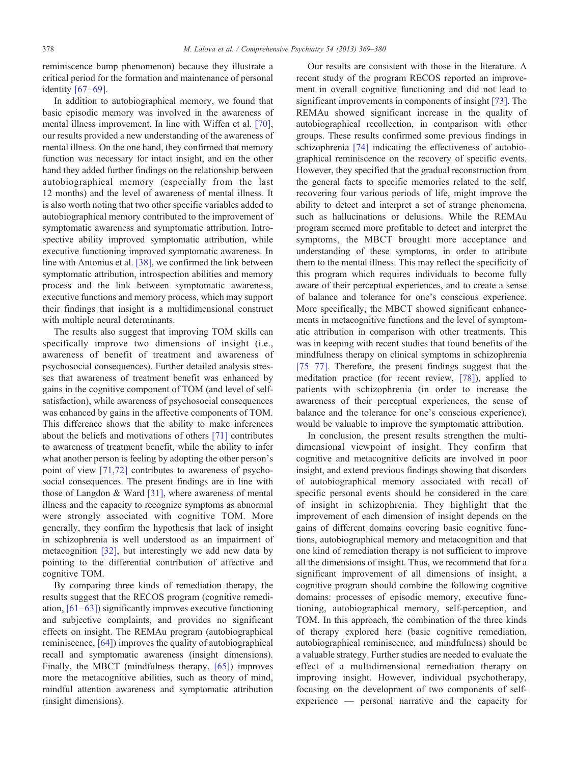reminiscence bump phenomenon) because they illustrate a critical period for the formation and maintenance of personal identity [67–[69\].](#page-11-0)

In addition to autobiographical memory, we found that basic episodic memory was involved in the awareness of mental illness improvement. In line with Wiffen et al. [\[70\],](#page-11-0) our results provided a new understanding of the awareness of mental illness. On the one hand, they confirmed that memory function was necessary for intact insight, and on the other hand they added further findings on the relationship between autobiographical memory (especially from the last 12 months) and the level of awareness of mental illness. It is also worth noting that two other specific variables added to autobiographical memory contributed to the improvement of symptomatic awareness and symptomatic attribution. Introspective ability improved symptomatic attribution, while executive functioning improved symptomatic awareness. In line with Antonius et al. [\[38\]](#page-10-0), we confirmed the link between symptomatic attribution, introspection abilities and memory process and the link between symptomatic awareness, executive functions and memory process, which may support their findings that insight is a multidimensional construct with multiple neural determinants.

The results also suggest that improving TOM skills can specifically improve two dimensions of insight (i.e., awareness of benefit of treatment and awareness of psychosocial consequences). Further detailed analysis stresses that awareness of treatment benefit was enhanced by gains in the cognitive component of TOM (and level of selfsatisfaction), while awareness of psychosocial consequences was enhanced by gains in the affective components of TOM. This difference shows that the ability to make inferences about the beliefs and motivations of others [\[71\]](#page-11-0) contributes to awareness of treatment benefit, while the ability to infer what another person is feeling by adopting the other person's point of view [\[71,72\]](#page-11-0) contributes to awareness of psychosocial consequences. The present findings are in line with those of Langdon & Ward [\[31\]](#page-10-0), where awareness of mental illness and the capacity to recognize symptoms as abnormal were strongly associated with cognitive TOM. More generally, they confirm the hypothesis that lack of insight in schizophrenia is well understood as an impairment of metacognition [\[32\]](#page-10-0), but interestingly we add new data by pointing to the differential contribution of affective and cognitive TOM.

By comparing three kinds of remediation therapy, the results suggest that the RECOS program (cognitive remediation, [61–[63\]\)](#page-11-0) significantly improves executive functioning and subjective complaints, and provides no significant effects on insight. The REMAu program (autobiographical reminiscence, [\[64\]](#page-11-0)) improves the quality of autobiographical recall and symptomatic awareness (insight dimensions). Finally, the MBCT (mindfulness therapy, [\[65\]](#page-11-0)) improves more the metacognitive abilities, such as theory of mind, mindful attention awareness and symptomatic attribution (insight dimensions).

Our results are consistent with those in the literature. A recent study of the program RECOS reported an improvement in overall cognitive functioning and did not lead to significant improvements in components of insight [\[73\]](#page-11-0). The REMAu showed significant increase in the quality of autobiographical recollection, in comparison with other groups. These results confirmed some previous findings in schizophrenia [\[74\]](#page-11-0) indicating the effectiveness of autobiographical reminiscence on the recovery of specific events. However, they specified that the gradual reconstruction from the general facts to specific memories related to the self, recovering four various periods of life, might improve the ability to detect and interpret a set of strange phenomena, such as hallucinations or delusions. While the REMAu program seemed more profitable to detect and interpret the symptoms, the MBCT brought more acceptance and understanding of these symptoms, in order to attribute them to the mental illness. This may reflect the specificity of this program which requires individuals to become fully aware of their perceptual experiences, and to create a sense of balance and tolerance for one's conscious experience. More specifically, the MBCT showed significant enhancements in metacognitive functions and the level of symptomatic attribution in comparison with other treatments. This was in keeping with recent studies that found benefits of the mindfulness therapy on clinical symptoms in schizophrenia [\[75](#page-11-0)–77]. Therefore, the present findings suggest that the meditation practice (for recent review, [\[78\]\)](#page-11-0), applied to patients with schizophrenia (in order to increase the awareness of their perceptual experiences, the sense of balance and the tolerance for one's conscious experience), would be valuable to improve the symptomatic attribution.

In conclusion, the present results strengthen the multidimensional viewpoint of insight. They confirm that cognitive and metacognitive deficits are involved in poor insight, and extend previous findings showing that disorders of autobiographical memory associated with recall of specific personal events should be considered in the care of insight in schizophrenia. They highlight that the improvement of each dimension of insight depends on the gains of different domains covering basic cognitive functions, autobiographical memory and metacognition and that one kind of remediation therapy is not sufficient to improve all the dimensions of insight. Thus, we recommend that for a significant improvement of all dimensions of insight, a cognitive program should combine the following cognitive domains: processes of episodic memory, executive functioning, autobiographical memory, self-perception, and TOM. In this approach, the combination of the three kinds of therapy explored here (basic cognitive remediation, autobiographical reminiscence, and mindfulness) should be a valuable strategy. Further studies are needed to evaluate the effect of a multidimensional remediation therapy on improving insight. However, individual psychotherapy, focusing on the development of two components of selfexperience — personal narrative and the capacity for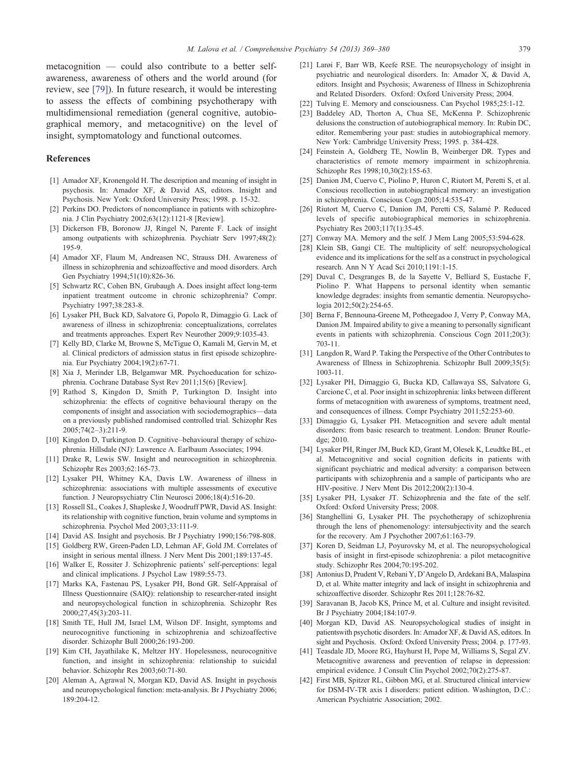<span id="page-10-0"></span>metacognition — could also contribute to a better selfawareness, awareness of others and the world around (for review, see [\[79\]](#page-11-0)). In future research, it would be interesting to assess the effects of combining psychotherapy with multidimensional remediation (general cognitive, autobiographical memory, and metacognitive) on the level of insight, symptomatology and functional outcomes.

## References

- [1] Amador XF, Kronengold H. The description and meaning of insight in psychosis. In: Amador XF, & David AS, editors. Insight and Psychosis. New York: Oxford University Press; 1998. p. 15-32.
- [2] Perkins DO. Predictors of noncompliance in patients with schizophrenia. J Clin Psychiatry 2002;63(12):1121-8 [Review].
- [3] Dickerson FB, Boronow JJ, Ringel N, Parente F. Lack of insight among outpatients with schizophrenia. Psychiatr Serv 1997;48(2): 195-9.
- [4] Amador XF, Flaum M, Andreasen NC, Strauss DH. Awareness of illness in schizophrenia and schizoaffective and mood disorders. Arch Gen Psychiatry 1994;51(10):826-36.
- [5] Schwartz RC, Cohen BN, Grubaugh A. Does insight affect long-term inpatient treatment outcome in chronic schizophrenia? Compr. Psychiatry 1997;38:283-8.
- [6] Lysaker PH, Buck KD, Salvatore G, Popolo R, Dimaggio G. Lack of awareness of illness in schizophrenia: conceptualizations, correlates and treatments approaches. Expert Rev Neurother 2009;9:1035-43.
- [7] Kelly BD, Clarke M, Browne S, McTigue O, Kamali M, Gervin M, et al. Clinical predictors of admission status in first episode schizophrenia. Eur Psychiatry 2004;19(2):67-71.
- [8] Xia J, Merinder LB, Belgamwar MR. Psychoeducation for schizophrenia. Cochrane Database Syst Rev 2011;15(6) [Review].
- [9] Rathod S, Kingdon D, Smith P, Turkington D. Insight into schizophrenia: the effects of cognitive behavioural therapy on the components of insight and association with sociodemographics—data on a previously published randomised controlled trial. Schizophr Res 2005;74(2–3):211-9.
- [10] Kingdon D, Turkington D. Cognitive–behavioural therapy of schizophrenia. Hillsdale (NJ): Lawrence A. Earlbaum Associates; 1994.
- [11] Drake R, Lewis SW. Insight and neurocognition in schizophrenia. Schizophr Res 2003;62:165-73.
- [12] Lysaker PH, Whitney KA, Davis LW. Awareness of illness in schizophrenia: associations with multiple assessments of executive function. J Neuropsychiatry Clin Neurosci 2006;18(4):516-20.
- [13] Rossell SL, Coakes J, Shapleske J, Woodruff PWR, David AS. Insight: its relationship with cognitive function, brain volume and symptoms in schizophrenia. Psychol Med 2003;33:111-9.
- [14] David AS. Insight and psychosis. Br J Psychiatry 1990;156:798-808.
- [15] Goldberg RW, Green-Paden LD, Lehman AF, Gold JM. Correlates of insight in serious mental illness. J Nerv Ment Dis 2001;189:137-45.
- [16] Walker E, Rossiter J. Schizophrenic patients' self-perceptions: legal and clinical implications. J Psychol Law 1989:55-73.
- [17] Marks KA, Fastenau PS, Lysaker PH, Bond GR. Self-Appraisal of Illness Questionnaire (SAIQ): relationship to researcher-rated insight and neuropsychological function in schizophrenia. Schizophr Res 2000;27,45(3):203-11.
- [18] Smith TE, Hull JM, Israel LM, Wilson DF. Insight, symptoms and neurocognitive functioning in schizophrenia and schizoaffective disorder. Schizophr Bull 2000;26:193-200.
- [19] Kim CH, Jayathilake K, Meltzer HY. Hopelessness, neurocognitive function, and insight in schizophrenia: relationship to suicidal behavior. Schizophr Res 2003;60:71-80.
- [20] Aleman A, Agrawal N, Morgan KD, David AS. Insight in psychosis and neuropsychological function: meta-analysis. Br J Psychiatry 2006; 189:204-12.
- [21] Larøi F, Barr WB, Keefe RSE. The neuropsychology of insight in psychiatric and neurological disorders. In: Amador X, & David A, editors. Insight and Psychosis; Awareness of Illness in Schizophrenia and Related Disorders. Oxford: Oxford University Press; 2004.
- [22] Tulving E. Memory and consciousness. Can Psychol 1985;25:1-12.
- [23] Baddeley AD, Thorton A, Chua SE, McKenna P. Schizophrenic delusions the construction of autobiographical memory. In: Rubin DC, editor. Remembering your past: studies in autobiographical memory. New York: Cambridge University Press; 1995. p. 384-428.
- [24] Feinstein A, Goldberg TE, Nowlin B, Weinberger DR. Types and characteristics of remote memory impairment in schizophrenia. Schizophr Res 1998;10,30(2):155-63.
- [25] Danion JM, Cuervo C, Piolino P, Huron C, Riutort M, Peretti S, et al. Conscious recollection in autobiographical memory: an investigation in schizophrenia. Conscious Cogn 2005;14:535-47.
- [26] Riutort M, Cuervo C, Danion JM, Peretti CS, Salamé P. Reduced levels of specific autobiographical memories in schizophrenia. Psychiatry Res 2003;117(1):35-45.
- [27] Conway MA. Memory and the self. J Mem Lang 2005;53:594-628.
- [28] Klein SB, Gangi CE. The multiplicity of self: neuropsychological evidence and its implications for the self as a construct in psychological research. Ann N Y Acad Sci 2010;1191:1-15.
- [29] Duval C, Desgranges B, de la Sayette V, Belliard S, Eustache F, Piolino P. What Happens to personal identity when semantic knowledge degrades: insights from semantic dementia. Neuropsychologia 2012;50(2):254-65.
- [30] Berna F, Bennouna-Greene M, Potheegadoo J, Verry P, Conway MA, Danion JM. Impaired ability to give a meaning to personally significant events in patients with schizophrenia. Conscious Cogn 2011;20(3): 703-11.
- [31] Langdon R, Ward P. Taking the Perspective of the Other Contributes to Awareness of Illness in Schizophrenia. Schizophr Bull 2009;35(5): 1003-11.
- [32] Lysaker PH, Dimaggio G, Bucka KD, Callawaya SS, Salvatore G, Carcione C, et al. Poor insight in schizophrenia: links between different forms of metacognition with awareness of symptoms, treatment need, and consequences of illness. Compr Psychiatry 2011;52:253-60.
- [33] Dimaggio G, Lysaker PH. Metacognition and severe adult mental disorders: from basic research to treatment. London: Bruner Routledge; 2010.
- [34] Lysaker PH, Ringer JM, Buck KD, Grant M, Olesek K, Leudtke BL, et al. Metacognitive and social cognition deficits in patients with significant psychiatric and medical adversity: a comparison between participants with schizophrenia and a sample of participants who are HIV-positive. J Nerv Ment Dis 2012;200(2):130-4.
- [35] Lysaker PH, Lysaker JT. Schizophrenia and the fate of the self. Oxford: Oxford University Press; 2008.
- [36] Stanghellini G, Lysaker PH. The psychotherapy of schizophrenia through the lens of phenomenology: intersubjectivity and the search for the recovery. Am J Psychother 2007;61:163-79.
- [37] Koren D, Seidman LJ, Poyurovsky M, et al. The neuropsychological basis of insight in first-episode schizophrenia: a pilot metacognitive study. Schizophr Res 2004;70:195-202.
- [38] Antonius D, Prudent V, Rebani Y, D'Angelo D, Ardekani BA, Malaspina D, et al. White matter integrity and lack of insight in schizophrenia and schizoaffective disorder. Schizophr Res 2011;128:76-82.
- [39] Saravanan B, Jacob KS, Prince M, et al. Culture and insight revisited. Br J Psychiatry 2004;184:107-9.
- [40] Morgan KD, David AS. Neuropsychological studies of insight in patientswith psychotic disorders. In: Amador XF, & David AS, editors. In sight and Psychosis. Oxford: Oxford University Press; 2004. p. 177-93.
- [41] Teasdale JD, Moore RG, Hayhurst H, Pope M, Williams S, Segal ZV. Metacognitive awareness and prevention of relapse in depression: empirical evidence. J Consult Clin Psychol 2002;70(2):275-87.
- [42] First MB, Spitzer RL, Gibbon MG, et al. Structured clinical interview for DSM-IV-TR axis I disorders: patient edition. Washington, D.C.: American Psychiatric Association; 2002.